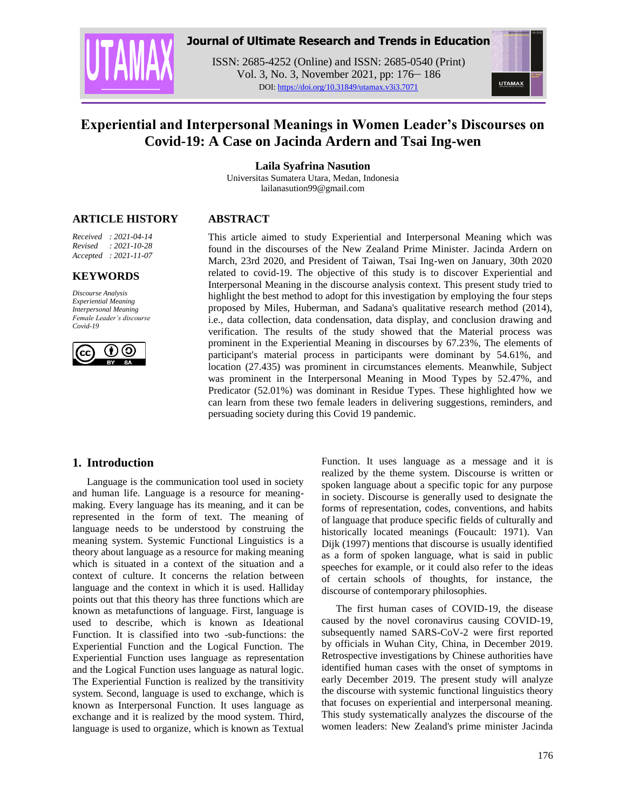

# **Journal of Ultimate Research and Trends in Education**

ISSN: 2685-4252 (Online) and ISSN: 2685-0540 (Print) Vol. 3, No. 3, November 2021, pp: 176– 186 DOI: https://doi.org/10.31849/utamax.v3i3.7071



# **Experiential and Interpersonal Meanings in Women Leader's Discourses on Covid-19: A Case on Jacinda Ardern and Tsai Ing-wen**

**Laila Syafrina Nasution**

Universitas Sumatera Utara, Medan, Indonesia lailanasution99@gmail.com

# **ARTICLE HISTORY**

*Received : 2021-04-14 Revised : 2021-10-28 Accepted : 2021-11-07*

### **KEYWORDS**

*Discourse Analysis Experiential Meaning Interpersonal Meaning Female Leader's discourse Covid-19*



**ABSTRACT**

This article aimed to study Experiential and Interpersonal Meaning which was found in the discourses of the New Zealand Prime Minister. Jacinda Ardern on March, 23rd 2020, and President of Taiwan, Tsai Ing-wen on January, 30th 2020 related to covid-19. The objective of this study is to discover Experiential and Interpersonal Meaning in the discourse analysis context. This present study tried to highlight the best method to adopt for this investigation by employing the four steps proposed by Miles, Huberman, and Sadana's qualitative research method (2014), i.e., data collection, data condensation, data display, and conclusion drawing and verification. The results of the study showed that the Material process was prominent in the Experiential Meaning in discourses by 67.23%, The elements of participant's material process in participants were dominant by 54.61%, and location (27.435) was prominent in circumstances elements. Meanwhile, Subject was prominent in the Interpersonal Meaning in Mood Types by 52.47%, and Predicator (52.01%) was dominant in Residue Types. These highlighted how we can learn from these two female leaders in delivering suggestions, reminders, and persuading society during this Covid 19 pandemic.

# **1. Introduction**

Language is the communication tool used in society and human life. Language is a resource for meaningmaking. Every language has its meaning, and it can be represented in the form of text. The meaning of language needs to be understood by construing the meaning system. Systemic Functional Linguistics is a theory about language as a resource for making meaning which is situated in a context of the situation and a context of culture. It concerns the relation between language and the context in which it is used. Halliday points out that this theory has three functions which are known as metafunctions of language. First, language is used to describe, which is known as Ideational Function. It is classified into two -sub-functions: the Experiential Function and the Logical Function. The Experiential Function uses language as representation and the Logical Function uses language as natural logic. The Experiential Function is realized by the transitivity system. Second, language is used to exchange, which is known as Interpersonal Function. It uses language as exchange and it is realized by the mood system. Third, language is used to organize, which is known as Textual

Function. It uses language as a message and it is realized by the theme system. Discourse is written or spoken language about a specific topic for any purpose in society. Discourse is generally used to designate the forms of representation, codes, conventions, and habits of language that produce specific fields of culturally and historically located meanings (Foucault: 1971). Van Dijk (1997) mentions that discourse is usually identified as a form of spoken language, what is said in public speeches for example, or it could also refer to the ideas of certain schools of thoughts, for instance, the discourse of contemporary philosophies.

The first human cases of COVID-19, the disease caused by the novel coronavirus causing COVID-19, subsequently named SARS-CoV-2 were first reported by officials in Wuhan City, China, in December 2019. Retrospective investigations by Chinese authorities have identified human cases with the onset of symptoms in early December 2019. The present study will analyze the discourse with systemic functional linguistics theory that focuses on experiential and interpersonal meaning. This study systematically analyzes the discourse of the women leaders: New Zealand's prime minister Jacinda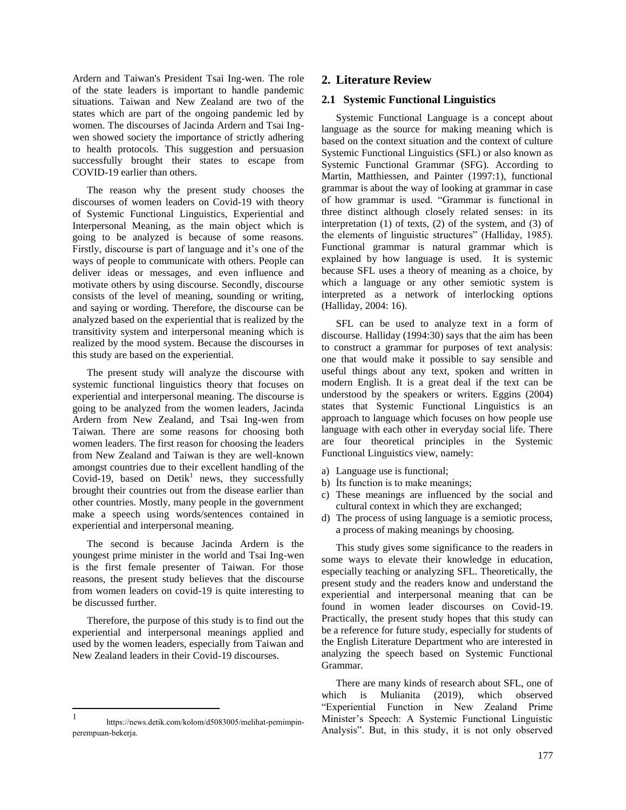Ardern and Taiwan's President Tsai Ing-wen. The role of the state leaders is important to handle pandemic situations. Taiwan and New Zealand are two of the states which are part of the ongoing pandemic led by women. The discourses of Jacinda Ardern and Tsai Ingwen showed society the importance of strictly adhering to health protocols. This suggestion and persuasion successfully brought their states to escape from COVID-19 earlier than others.

The reason why the present study chooses the discourses of women leaders on Covid-19 with theory of Systemic Functional Linguistics, Experiential and Interpersonal Meaning, as the main object which is going to be analyzed is because of some reasons. Firstly, discourse is part of language and it's one of the ways of people to communicate with others. People can deliver ideas or messages, and even influence and motivate others by using discourse. Secondly, discourse consists of the level of meaning, sounding or writing, and saying or wording. Therefore, the discourse can be analyzed based on the experiential that is realized by the transitivity system and interpersonal meaning which is realized by the mood system. Because the discourses in this study are based on the experiential.

The present study will analyze the discourse with systemic functional linguistics theory that focuses on experiential and interpersonal meaning. The discourse is going to be analyzed from the women leaders, Jacinda Ardern from New Zealand, and Tsai Ing-wen from Taiwan. There are some reasons for choosing both women leaders. The first reason for choosing the leaders from New Zealand and Taiwan is they are well-known amongst countries due to their excellent handling of the Covid-19, based on Detik<sup>1</sup> news, they successfully brought their countries out from the disease earlier than other countries. Mostly, many people in the government make a speech using words/sentences contained in experiential and interpersonal meaning.

The second is because Jacinda Ardern is the youngest prime minister in the world and Tsai Ing-wen is the first female presenter of Taiwan. For those reasons, the present study believes that the discourse from women leaders on covid-19 is quite interesting to be discussed further.

Therefore, the purpose of this study is to find out the experiential and interpersonal meanings applied and used by the women leaders, especially from Taiwan and New Zealand leaders in their Covid-19 discourses.

# **2. Literature Review**

# **2.1 Systemic Functional Linguistics**

Systemic Functional Language is a concept about language as the source for making meaning which is based on the context situation and the context of culture Systemic Functional Linguistics (SFL) or also known as Systemic Functional Grammar (SFG). According to Martin, Matthiessen, and Painter (1997:1), functional grammar is about the way of looking at grammar in case of how grammar is used. "Grammar is functional in three distinct although closely related senses: in its interpretation (1) of texts, (2) of the system, and (3) of the elements of linguistic structures" (Halliday, 1985). Functional grammar is natural grammar which is explained by how language is used. It is systemic because SFL uses a theory of meaning as a choice, by which a language or any other semiotic system is interpreted as a network of interlocking options (Halliday, 2004: 16).

SFL can be used to analyze text in a form of discourse. Halliday (1994:30) says that the aim has been to construct a grammar for purposes of text analysis: one that would make it possible to say sensible and useful things about any text, spoken and written in modern English. It is a great deal if the text can be understood by the speakers or writers. Eggins (2004) states that Systemic Functional Linguistics is an approach to language which focuses on how people use language with each other in everyday social life. There are four theoretical principles in the Systemic Functional Linguistics view, namely:

- a) Language use is functional;
- b) İts function is to make meanings;
- c) These meanings are influenced by the social and cultural context in which they are exchanged;
- d) The process of using language is a semiotic process, a process of making meanings by choosing.

This study gives some significance to the readers in some ways to elevate their knowledge in education, especially teaching or analyzing SFL. Theoretically, the present study and the readers know and understand the experiential and interpersonal meaning that can be found in women leader discourses on Covid-19. Practically, the present study hopes that this study can be a reference for future study, especially for students of the English Literature Department who are interested in analyzing the speech based on Systemic Functional Grammar.

There are many kinds of research about SFL, one of which is Mulianita (2019), which observed "Experiential Function in New Zealand Prime Minister"s Speech: A Systemic Functional Linguistic Analysis". But, in this study, it is not only observed

 $\frac{1}{1}$ https://news.detik.com/kolom/d5083005/melihat-pemimpinperempuan-bekerja.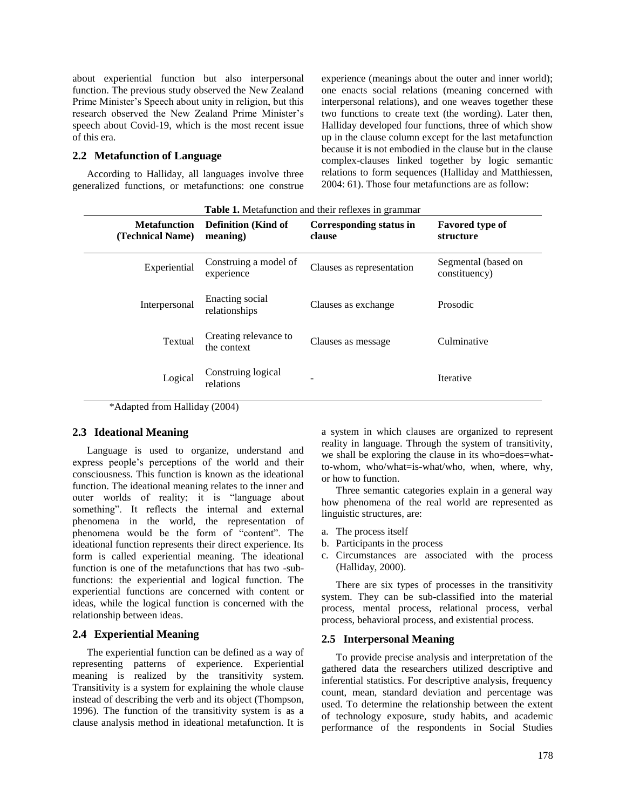about experiential function but also interpersonal function. The previous study observed the New Zealand Prime Minister"s Speech about unity in religion, but this research observed the New Zealand Prime Minister"s speech about Covid-19, which is the most recent issue of this era.

### **2.2 Metafunction of Language**

According to Halliday, all languages involve three generalized functions, or metafunctions: one construe experience (meanings about the outer and inner world); one enacts social relations (meaning concerned with interpersonal relations), and one weaves together these two functions to create text (the wording). Later then, Halliday developed four functions, three of which show up in the clause column except for the last metafunction because it is not embodied in the clause but in the clause complex-clauses linked together by logic semantic relations to form sequences (Halliday and Matthiessen, 2004: 61). Those four metafunctions are as follow:

| <b>Table 1.</b> Metafunction and their reflexes in grammar |                                        |                                   |                                      |  |
|------------------------------------------------------------|----------------------------------------|-----------------------------------|--------------------------------------|--|
| <b>Metafunction</b><br>(Technical Name)                    | <b>Definition (Kind of</b><br>meaning) | Corresponding status in<br>clause | <b>Favored type of</b><br>structure  |  |
| Experiential                                               | Construing a model of<br>experience    | Clauses as representation         | Segmental (based on<br>constituency) |  |
| Interpersonal                                              | Enacting social<br>relationships       | Clauses as exchange               | Prosodic                             |  |
| Textual                                                    | Creating relevance to<br>the context   | Clauses as message                | Culminative                          |  |
| Logical<br><b>YY 11' 1</b>                                 | Construing logical<br>relations        |                                   | Iterative                            |  |

\*Adapted from Halliday (2004)

# **2.3 Ideational Meaning**

Language is used to organize, understand and express people"s perceptions of the world and their consciousness. This function is known as the ideational function. The ideational meaning relates to the inner and outer worlds of reality; it is "language about something". It reflects the internal and external phenomena in the world, the representation of phenomena would be the form of "content". The ideational function represents their direct experience. Its form is called experiential meaning. The ideational function is one of the metafunctions that has two -subfunctions: the experiential and logical function. The experiential functions are concerned with content or ideas, while the logical function is concerned with the relationship between ideas.

# **2.4 Experiential Meaning**

The experiential function can be defined as a way of representing patterns of experience. Experiential meaning is realized by the transitivity system. Transitivity is a system for explaining the whole clause instead of describing the verb and its object (Thompson, 1996). The function of the transitivity system is as a clause analysis method in ideational metafunction. It is a system in which clauses are organized to represent reality in language. Through the system of transitivity, we shall be exploring the clause in its who=does=whatto-whom, who/what=is-what/who, when, where, why, or how to function.

Three semantic categories explain in a general way how phenomena of the real world are represented as linguistic structures, are:

- a. The process itself
- b. Participants in the process
- c. Circumstances are associated with the process (Halliday, 2000).

There are six types of processes in the transitivity system. They can be sub-classified into the material process, mental process, relational process, verbal process, behavioral process, and existential process.

### **2.5 Interpersonal Meaning**

To provide precise analysis and interpretation of the gathered data the researchers utilized descriptive and inferential statistics. For descriptive analysis, frequency count, mean, standard deviation and percentage was used. To determine the relationship between the extent of technology exposure, study habits, and academic performance of the respondents in Social Studies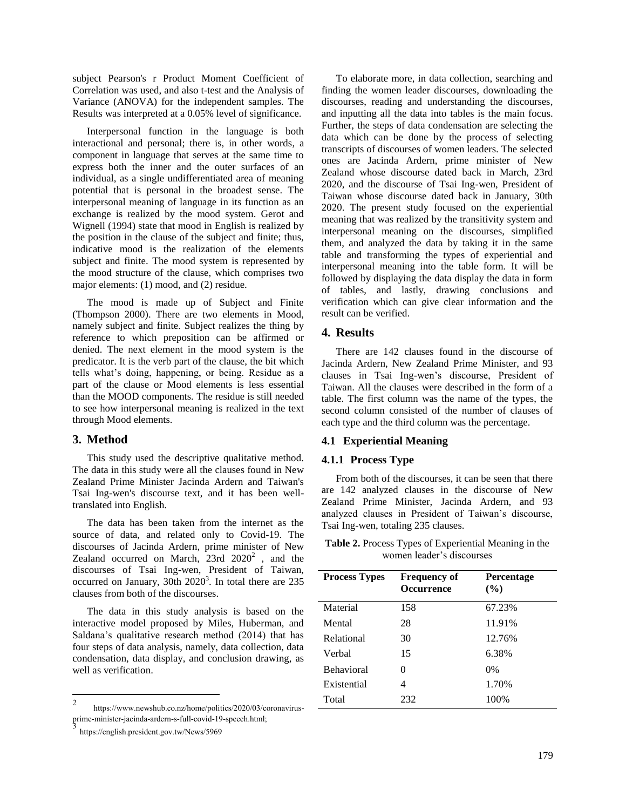subject Pearson's r Product Moment Coefficient of Correlation was used, and also t-test and the Analysis of Variance (ANOVA) for the independent samples. The Results was interpreted at a 0.05% level of significance.

Interpersonal function in the language is both interactional and personal; there is, in other words, a component in language that serves at the same time to express both the inner and the outer surfaces of an individual, as a single undifferentiated area of meaning potential that is personal in the broadest sense. The interpersonal meaning of language in its function as an exchange is realized by the mood system. Gerot and Wignell (1994) state that mood in English is realized by the position in the clause of the subject and finite; thus, indicative mood is the realization of the elements subject and finite. The mood system is represented by the mood structure of the clause, which comprises two major elements: (1) mood, and (2) residue.

The mood is made up of Subject and Finite (Thompson 2000). There are two elements in Mood, namely subject and finite. Subject realizes the thing by reference to which preposition can be affirmed or denied. The next element in the mood system is the predicator. It is the verb part of the clause, the bit which tells what"s doing, happening, or being. Residue as a part of the clause or Mood elements is less essential than the MOOD components. The residue is still needed to see how interpersonal meaning is realized in the text through Mood elements.

# **3. Method**

This study used the descriptive qualitative method. The data in this study were all the clauses found in New Zealand Prime Minister Jacinda Ardern and Taiwan's Tsai Ing-wen's discourse text, and it has been welltranslated into English.

The data has been taken from the internet as the source of data, and related only to Covid-19. The discourses of Jacinda Ardern, prime minister of New Zealand occurred on March,  $23rd \ 2020^2$ , and the discourses of Tsai Ing-wen, President of Taiwan, occurred on January,  $30th$   $2020<sup>3</sup>$ . In total there are 235 clauses from both of the discourses.

The data in this study analysis is based on the interactive model proposed by Miles, Huberman, and Saldana"s qualitative research method (2014) that has four steps of data analysis, namely, data collection, data condensation, data display, and conclusion drawing, as well as verification.

To elaborate more, in data collection, searching and finding the women leader discourses, downloading the discourses, reading and understanding the discourses, and inputting all the data into tables is the main focus. Further, the steps of data condensation are selecting the data which can be done by the process of selecting transcripts of discourses of women leaders. The selected ones are Jacinda Ardern, prime minister of New Zealand whose discourse dated back in March, 23rd 2020, and the discourse of Tsai Ing-wen, President of Taiwan whose discourse dated back in January, 30th 2020. The present study focused on the experiential meaning that was realized by the transitivity system and interpersonal meaning on the discourses, simplified them, and analyzed the data by taking it in the same table and transforming the types of experiential and interpersonal meaning into the table form. It will be followed by displaying the data display the data in form of tables, and lastly, drawing conclusions and verification which can give clear information and the result can be verified.

# **4. Results**

There are 142 clauses found in the discourse of Jacinda Ardern, New Zealand Prime Minister, and 93 clauses in Tsai Ing-wen"s discourse, President of Taiwan. All the clauses were described in the form of a table. The first column was the name of the types, the second column consisted of the number of clauses of each type and the third column was the percentage.

# **4.1 Experiential Meaning**

# **4.1.1 Process Type**

From both of the discourses, it can be seen that there are 142 analyzed clauses in the discourse of New Zealand Prime Minister, Jacinda Ardern, and 93 analyzed clauses in President of Taiwan"s discourse, Tsai Ing-wen, totaling 235 clauses.

**Table 2.** Process Types of Experiential Meaning in the women leader"s discourses

| <b>Process Types</b> | <b>Frequency of</b><br><b>Occurrence</b> | <b>Percentage</b><br>$($ %) |
|----------------------|------------------------------------------|-----------------------------|
| Material             | 158                                      | 67.23%                      |
| Mental               | 28                                       | 11.91%                      |
| Relational           | 30                                       | 12.76%                      |
| Verbal               | 15                                       | 6.38%                       |
| <b>Behavioral</b>    | 0                                        | $0\%$                       |
| Existential          | 4                                        | 1.70%                       |
| Total                | 232                                      | 100%                        |

<sup>&</sup>lt;sup>2</sup> https://www.newshub.co.nz/home/politics/2020/03/coronavirusprime-minister-jacinda-ardern-s-full-covid-19-speech.html; 3

https://english.president.gov.tw/News/5969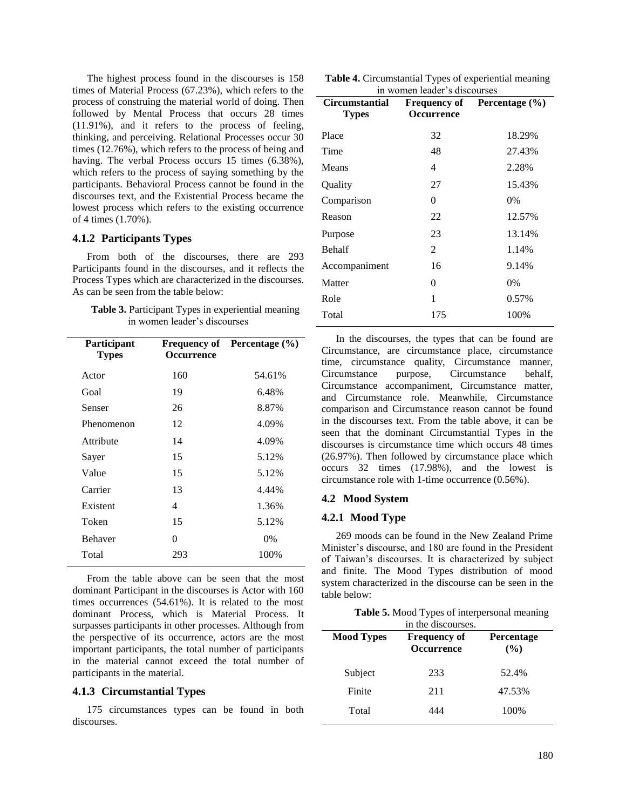The highest process found in the discourses is 158 times of Material Process (67.23%), which refers to the process of construing the material world of doing. Then followed by Mental Process that occurs 28 times (11.91%), and it refers to the process of feeling, thinking, and perceiving. Relational Processes occur 30 times (12.76%), which refers to the process of being and having. The verbal Process occurs 15 times  $(6.38\%)$ , which refers to the process of saying something by the participants. Behavioral Process cannot be found in the discourses text, and the Existential Process became the lowest process which refers to the existing occurrence of 4 times (1.70%).

### **4.1.2 Participants Types**

From both of the discourses, there are 293 Participants found in the discourses, and it reflects the Process Types which are characterized in the discourses. As can be seen from the table below:

| Table 3. Participant Types in experiential meaning |
|----------------------------------------------------|
| in women leader's discourses                       |

| Participant<br><b>Types</b> | <b>Occurrence</b> | Frequency of Percentage (%) |
|-----------------------------|-------------------|-----------------------------|
| Actor                       | 160               | 54.61%                      |
| Goal                        | 19                | 6.48%                       |
| Senser                      | 26                | 8.87%                       |
| Phenomenon                  | 12                | 4.09%                       |
| Attribute                   | 14                | 4.09%                       |
| Sayer                       | 15                | 5.12%                       |
| Value                       | 15                | 5.12%                       |
| Carrier                     | 13                | 4.44%                       |
| Existent                    | 4                 | 1.36%                       |
| Token                       | 15                | 5.12%                       |
| <b>Behaver</b>              | 0                 | $0\%$                       |
| Total                       | 293               | 100%                        |

From the table above can be seen that the most dominant Participant in the discourses is Actor with 160 times occurrences (54.61%). It is related to the most dominant Process, which is Material Process. It surpasses participants in other processes. Although from the perspective of its occurrence, actors are the most important participants, the total number of participants in the material cannot exceed the total number of participants in the material.

### **4.1.3 Circumstantial Types**

175 circumstances types can be found in both discourses.

**Table 4.** Circumstantial Types of experiential meaning in women leader"s discourses

| <b>Circumstantial</b><br><b>Types</b> | <b>Frequency of</b><br><b>Occurrence</b> | Percentage $(\% )$ |
|---------------------------------------|------------------------------------------|--------------------|
| Place                                 | 32                                       | 18.29%             |
| Time                                  | 48                                       | 27.43%             |
| Means                                 | 4                                        | 2.28%              |
| Quality                               | 27                                       | 15.43%             |
| Comparison                            | 0                                        | $0\%$              |
| Reason                                | 22                                       | 12.57%             |
| Purpose                               | 23                                       | 13.14%             |
| <b>Behalf</b>                         | $\overline{c}$                           | 1.14%              |
| Accompaniment                         | 16                                       | 9.14%              |
| Matter                                | 0                                        | $0\%$              |
| Role                                  | 1                                        | 0.57%              |
| Total                                 | 175                                      | 100%               |
|                                       |                                          |                    |

In the discourses, the types that can be found are Circumstance, are circumstance place, circumstance time, circumstance quality, Circumstance manner, Circumstance purpose, Circumstance behalf, Circumstance accompaniment, Circumstance matter, and Circumstance role. Meanwhile, Circumstance comparison and Circumstance reason cannot be found in the discourses text. From the table above, it can be seen that the dominant Circumstantial Types in the discourses is circumstance time which occurs 48 times (26.97%). Then followed by circumstance place which occurs 32 times (17.98%), and the lowest is circumstance role with 1-time occurrence (0.56%).

### **4.2 Mood System**

### **4.2.1 Mood Type**

269 moods can be found in the New Zealand Prime Minister"s discourse, and 180 are found in the President of Taiwan"s discourses. It is characterized by subject and finite. The Mood Types distribution of mood system characterized in the discourse can be seen in the table below:

| <b>Table 5.</b> Mood Types of interpersonal meaning |
|-----------------------------------------------------|
| in the discourses.                                  |

| <b>Mood Types</b> | <b>Frequency of</b><br><b>Occurrence</b> | <b>Percentage</b><br>$($ %) |
|-------------------|------------------------------------------|-----------------------------|
| Subject           | 233                                      | 52.4%                       |
| Finite            | 211                                      | 47.53%                      |
| Total             | 444                                      | 100%                        |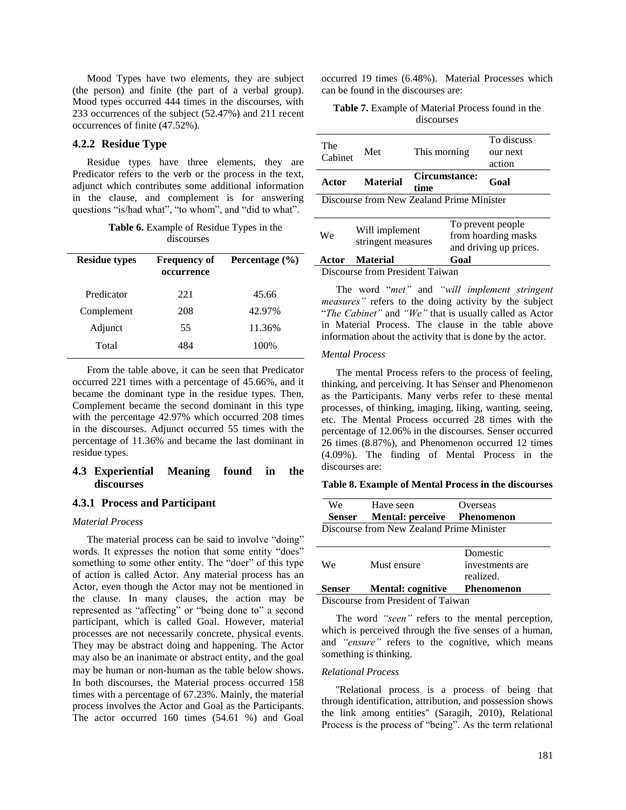Mood Types have two elements, they are subject (the person) and finite (the part of a verbal group). Mood types occurred 444 times in the discourses, with 233 occurrences of the subject (52.47%) and 211 recent occurrences of finite (47.52%).

#### **4.2.2 Residue Type**

Residue types have three elements, they are Predicator refers to the verb or the process in the text, adjunct which contributes some additional information in the clause, and complement is for answering questions "is/had what", "to whom", and "did to what".

| <b>Table 6.</b> Example of Residue Types in the |
|-------------------------------------------------|
| discourses                                      |

| <b>Residue types</b> | <b>Frequency of</b><br>occurrence | Percentage $(\% )$ |
|----------------------|-----------------------------------|--------------------|
| Predicator           | 221                               | 45.66              |
| Complement           | 208                               | 42.97%             |
| Adjunct              | 55                                | 11.36%             |
| Total                | 484                               | 100%               |

From the table above, it can be seen that Predicator occurred 221 times with a percentage of 45.66%, and it became the dominant type in the residue types. Then, Complement became the second dominant in this type with the percentage 42.97% which occurred 208 times in the discourses. Adjunct occurred 55 times with the percentage of 11.36% and became the last dominant in residue types.

# **4.3 Experiential Meaning found in the discourses**

# **4.3.1 Process and Participant**

# *Material Process*

The material process can be said to involve "doing" words. It expresses the notion that some entity "does" something to some other entity. The "doer" of this type of action is called Actor. Any material process has an Actor, even though the Actor may not be mentioned in the clause. In many clauses, the action may be represented as "affecting" or "being done to" a second participant, which is called Goal. However, material processes are not necessarily concrete, physical events. They may be abstract doing and happening. The Actor may also be an inanimate or abstract entity, and the goal may be human or non-human as the table below shows. In both discourses, the Material process occurred 158 times with a percentage of 67.23%. Mainly, the material process involves the Actor and Goal as the Participants. The actor occurred 160 times (54.61 %) and Goal

occurred 19 times (6.48%). Material Processes which can be found in the discourses are:

**Table 7.** Example of Material Process found in the discourses

| The<br>Cabinet | Met                                  | This morning                              | To discuss<br>our next<br>action                                                                |
|----------------|--------------------------------------|-------------------------------------------|-------------------------------------------------------------------------------------------------|
| Actor          | <b>Material</b>                      | Circumstance:<br>time                     | Goal                                                                                            |
|                |                                      | Discourse from New Zealand Prime Minister |                                                                                                 |
| We             | Will implement<br>stringent measures |                                           | To prevent people<br>from hoarding masks<br>المالوني فترابط المتحدث الماركين فالمناقب القالونية |

and driving up prices. **Actor Material Goal** 

Discourse from President Taiwan

The word "*met"* and *"will implement stringent measures"* refers to the doing activity by the subject "*The Cabinet"* and *"We"* that is usually called as Actor in Material Process. The clause in the table above information about the activity that is done by the actor.

# *Mental Process*

The mental Process refers to the process of feeling, thinking, and perceiving. It has Senser and Phenomenon as the Participants. Many verbs refer to these mental processes, of thinking, imaging, liking, wanting, seeing, etc. The Mental Process occurred 28 times with the percentage of 12.06% in the discourses. Senser occurred 26 times (8.87%), and Phenomenon occurred 12 times (4.09%). The finding of Mental Process in the discourses are:

#### **Table 8. Example of Mental Process in the discourses**

| We            | Have seen                                 | Overseas        |
|---------------|-------------------------------------------|-----------------|
| <b>Senser</b> | <b>Mental: perceive</b> Phenomenon        |                 |
|               | Discourse from New Zealand Prime Minister |                 |
|               |                                           |                 |
|               |                                           |                 |
|               |                                           | Domestic        |
| We            | Must ensure                               | investments are |
|               |                                           | realized.       |

Discourse from President of Taiwan

The word *"seen"* refers to the mental perception, which is perceived through the five senses of a human, and *"ensure"* refers to the cognitive, which means something is thinking.

#### *Relational Process*

''Relational process is a process of being that through identification, attribution, and possession shows the link among entities'' (Saragih, 2010), Relational Process is the process of "being". As the term relational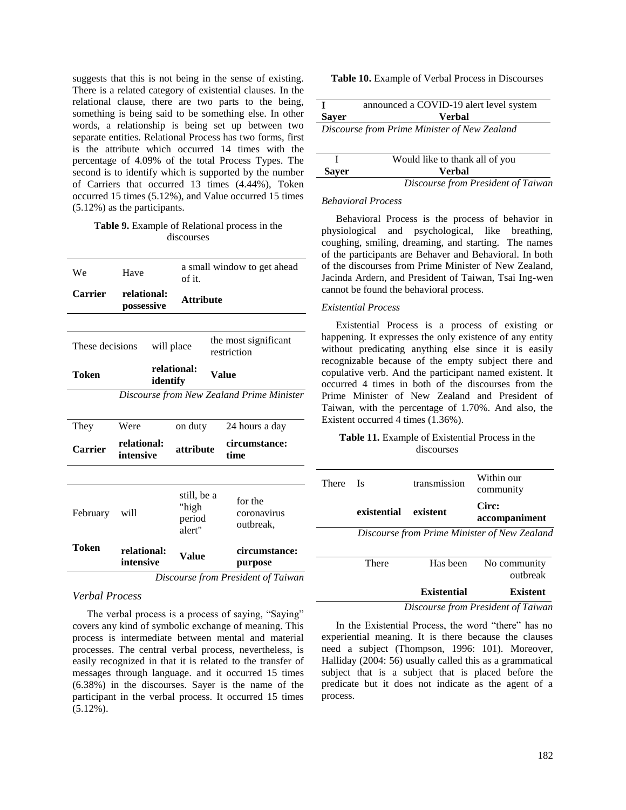suggests that this is not being in the sense of existing. There is a related category of existential clauses. In the relational clause, there are two parts to the being, something is being said to be something else. In other words, a relationship is being set up between two separate entities. Relational Process has two forms, first is the attribute which occurred 14 times with the percentage of 4.09% of the total Process Types. The second is to identify which is supported by the number of Carriers that occurred 13 times (4.44%), Token occurred 15 times (5.12%), and Value occurred 15 times (5.12%) as the participants.

#### **Table 9.** Example of Relational process in the discourses

| We              | Have                      | of it.                                   | a small window to get ahead               |
|-----------------|---------------------------|------------------------------------------|-------------------------------------------|
| <b>Carrier</b>  | relational:<br>possessive | <b>Attribute</b>                         |                                           |
|                 |                           |                                          |                                           |
| These decisions |                           | will place                               | the most significant<br>restriction       |
| Token           |                           | relational:<br>identify                  | Value                                     |
|                 |                           |                                          | Discourse from New Zealand Prime Minister |
| They            | Were                      | on duty                                  | 24 hours a day                            |
| Carrier         | relational:<br>intensive  | attribute                                | circumstance:<br>time                     |
|                 |                           |                                          |                                           |
| February        | will                      | still, be a<br>"high<br>period<br>alert" | for the<br>coronavirus<br>outbreak,       |
| Token           | relational:<br>intensive  | Value                                    | circumstance:<br>purpose                  |
|                 |                           |                                          | Discourse from President of Taiwan        |

# *Verbal Process*

The verbal process is a process of saying, "Saying" covers any kind of symbolic exchange of meaning. This process is intermediate between mental and material processes. The central verbal process, nevertheless, is easily recognized in that it is related to the transfer of messages through language. and it occurred 15 times (6.38%) in the discourses. Sayer is the name of the participant in the verbal process. It occurred 15 times (5.12%).

# **Table 10.** Example of Verbal Process in Discourses

|              | announced a COVID-19 alert level system      |
|--------------|----------------------------------------------|
| <b>Sayer</b> | <b>Verbal</b>                                |
|              | Discourse from Prime Minister of New Zealand |

|              | Would like to thank all of you     |
|--------------|------------------------------------|
| <b>Sayer</b> | <b>Verbal</b>                      |
|              | Discourse from President of Taiwan |

#### *Behavioral Process*

Behavioral Process is the process of behavior in physiological and psychological, like breathing, coughing, smiling, dreaming, and starting. The names of the participants are Behaver and Behavioral. In both of the discourses from Prime Minister of New Zealand, Jacinda Ardern, and President of Taiwan, Tsai Ing-wen cannot be found the behavioral process.

### *Existential Process*

Existential Process is a process of existing or happening. It expresses the only existence of any entity without predicating anything else since it is easily recognizable because of the empty subject there and copulative verb. And the participant named existent. It occurred 4 times in both of the discourses from the Prime Minister of New Zealand and President of Taiwan, with the percentage of 1.70%. And also, the Existent occurred 4 times (1.36%).

# **Table 11.** Example of Existential Process in the discourses

| <b>There</b> | - Is        | transmission | Within our<br>community                      |
|--------------|-------------|--------------|----------------------------------------------|
|              | existential | existent     | Circ:<br>accompaniment                       |
|              |             |              | Discourse from Prime Minister of New Zealand |
|              | There       |              |                                              |
|              |             | Has been     | No community<br>outbreak                     |

*Discourse from President of Taiwan*

In the Existential Process, the word "there" has no experiential meaning. It is there because the clauses need a subject (Thompson, 1996: 101). Moreover, Halliday (2004: 56) usually called this as a grammatical subject that is a subject that is placed before the predicate but it does not indicate as the agent of a process.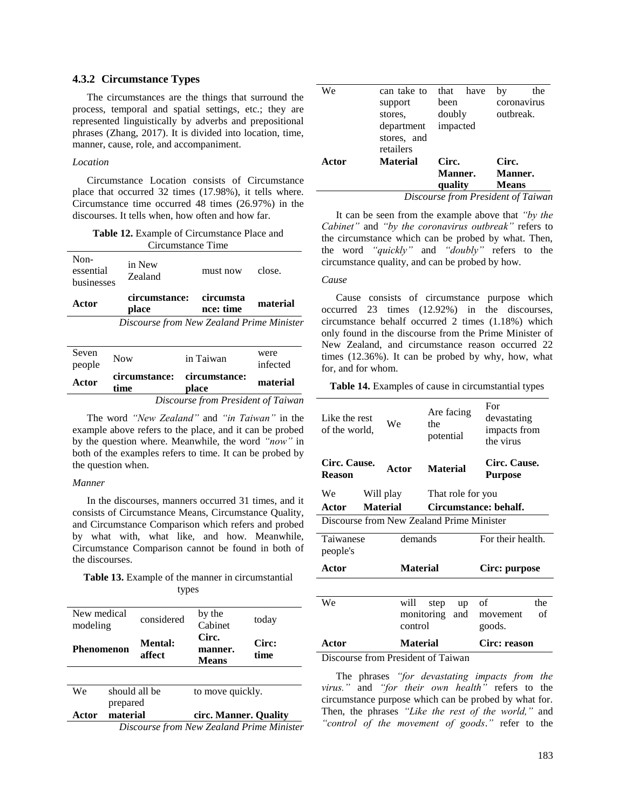# **4.3.2 Circumstance Types**

The circumstances are the things that surround the process, temporal and spatial settings, etc.; they are represented linguistically by adverbs and prepositional phrases (Zhang, 2017). It is divided into location, time, manner, cause, role, and accompaniment.

# *Location*

Circumstance Location consists of Circumstance place that occurred 32 times (17.98%), it tells where. Circumstance time occurred 48 times (26.97%) in the discourses. It tells when, how often and how far.

| <b>Table 12.</b> Example of Circumstance Place and |
|----------------------------------------------------|
| Circumstance Time                                  |

| Non-<br>essential<br>businesses | in New<br>Zealand                         | must now               | close.   |
|---------------------------------|-------------------------------------------|------------------------|----------|
| Actor                           | circumstance:<br>place                    | circumsta<br>nce: time | material |
|                                 | Discourse from New Zealand Prime Minister |                        |          |
| Seven                           | $\mathbf{M}$                              | ta material            | were     |

|                 |            | Discourse from President of Taiwan   |                  |
|-----------------|------------|--------------------------------------|------------------|
| Actor           | time       | circumstance: circumstance:<br>place | material         |
| Seven<br>people | <b>Now</b> | in Taiwan                            | were<br>infected |

The word *"New Zealand"* and *"in Taiwan"* in the example above refers to the place, and it can be probed by the question where. Meanwhile, the word *"now"* in both of the examples refers to time. It can be probed by the question when.

#### *Manner*

In the discourses, manners occurred 31 times, and it consists of Circumstance Means, Circumstance Quality, and Circumstance Comparison which refers and probed by what with, what like, and how. Meanwhile, Circumstance Comparison cannot be found in both of the discourses.

**Table 13.** Example of the manner in circumstantial types

| New medical<br>modeling |          | considered     | by the<br>Cabinet     | today                                     |
|-------------------------|----------|----------------|-----------------------|-------------------------------------------|
|                         |          | <b>Mental:</b> | Circ.                 | Circ:                                     |
| Phenomenon              |          | affect         | manner.               | time                                      |
|                         |          |                | <b>Means</b>          |                                           |
|                         |          |                |                       |                                           |
| We                      |          | should all be  | to move quickly.      |                                           |
|                         | prepared |                |                       |                                           |
| Actor                   | material |                | circ. Manner. Quality |                                           |
|                         |          |                |                       | Discourse from New Zealand Prime Minister |

| We    | can take to              | that<br>have | the<br>bv                          |
|-------|--------------------------|--------------|------------------------------------|
|       | support                  | been         | coronavirus                        |
|       | stores.                  | doubly       | outbreak.                          |
|       | department               | impacted     |                                    |
|       | stores, and<br>retailers |              |                                    |
| Actor | <b>Material</b>          | Circ.        | Circ.                              |
|       |                          | Manner.      | Manner.                            |
|       |                          | quality      | <b>Means</b>                       |
|       |                          |              | Discourse from President of Taiwan |

It can be seen from the example above that *"by the Cabinet"* and *"by the coronavirus outbreak"* refers to the circumstance which can be probed by what. Then, the word *"quickly"* and *"doubly"* refers to the circumstance quality, and can be probed by how.

*Cause*

Cause consists of circumstance purpose which occurred 23 times (12.92%) in the discourses, circumstance behalf occurred 2 times (1.18%) which only found in the discourse from the Prime Minister of New Zealand, and circumstance reason occurred 22 times (12.36%). It can be probed by why, how, what for, and for whom.

**Table 14.** Examples of cause in circumstantial types

| Like the rest<br>of the world.            |                 | We              | Are facing<br>the<br>potential |           | For<br>devastating<br>impacts from<br>the virus |           |
|-------------------------------------------|-----------------|-----------------|--------------------------------|-----------|-------------------------------------------------|-----------|
| Circ. Cause.<br><b>Reason</b>             |                 | Actor           | <b>Material</b>                |           | Circ. Cause.<br><b>Purpose</b>                  |           |
| We                                        | Will play       |                 | That role for you              |           |                                                 |           |
| Actor                                     | <b>Material</b> |                 |                                |           | Circumstance: behalf.                           |           |
| Discourse from New Zealand Prime Minister |                 |                 |                                |           |                                                 |           |
| Taiwanese<br>people's                     |                 | demands         |                                |           | For their health.                               |           |
| Actor                                     |                 | <b>Material</b> |                                |           | Circ: purpose                                   |           |
|                                           |                 |                 |                                |           |                                                 |           |
| We                                        |                 | will<br>control | step<br>monitoring             | up<br>and | of<br>movement<br>goods.                        | the<br>of |
| Actor                                     |                 | <b>Material</b> |                                |           | Circ: reason                                    |           |
| Discourse from President of Taiwan        |                 |                 |                                |           |                                                 |           |

The phrases *"for devastating impacts from the virus."* and *"for their own health"* refers to the circumstance purpose which can be probed by what for. Then, the phrases *"Like the rest of the world,"* and *"control of the movement of goods*.*"* refer to the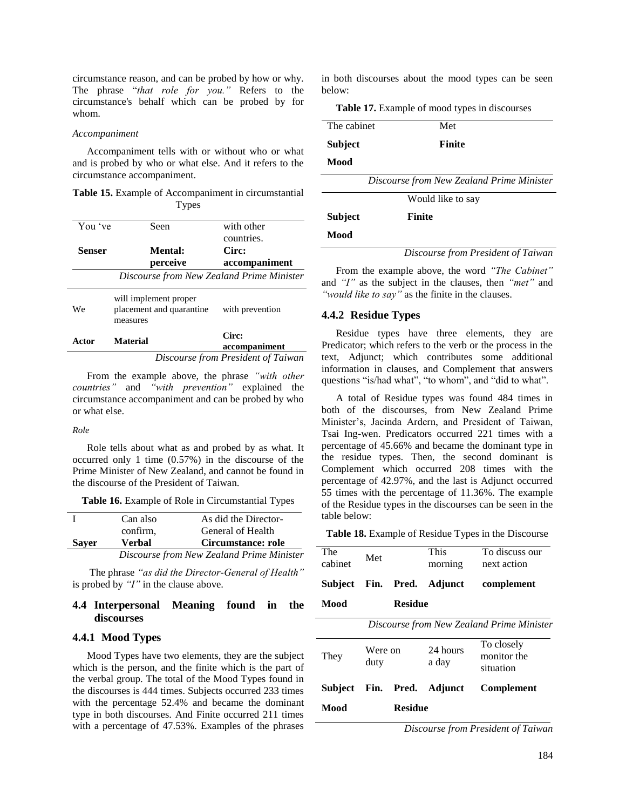circumstance reason, and can be probed by how or why. The phrase "*that role for you."* Refers to the circumstance's behalf which can be probed by for whom.

#### *Accompaniment*

Accompaniment tells with or without who or what and is probed by who or what else. And it refers to the circumstance accompaniment.

**Table 15.** Example of Accompaniment in circumstantial Types

| You 've       | Seen                                                          | with other                           |
|---------------|---------------------------------------------------------------|--------------------------------------|
| <b>Senser</b> | Mental:<br>perceive                                           | countries.<br>Circ:<br>accompaniment |
|               | Discourse from New Zealand Prime Minister                     |                                      |
| We.           | will implement proper<br>placement and quarantine<br>measures | with prevention                      |
| Actor         | <b>Material</b>                                               | Circ:<br>accompaniment               |
|               |                                                               | Discourse from President of Taiwan   |

From the example above, the phrase *"with other countries"* and *"with prevention"* explained the circumstance accompaniment and can be probed by who or what else.

#### *Role*

Role tells about what as and probed by as what. It occurred only 1 time (0.57%) in the discourse of the Prime Minister of New Zealand, and cannot be found in the discourse of the President of Taiwan.

|  |  |  | Table 16. Example of Role in Circumstantial Types |  |
|--|--|--|---------------------------------------------------|--|
|--|--|--|---------------------------------------------------|--|

|              | ≖.       | $\sigma$ in the state $\sigma$ |
|--------------|----------|--------------------------------|
| <b>Sayer</b> | Verbal   | Circumstance: role             |
|              | confirm. | General of Health              |
|              | Can also | As did the Director-           |

*Discourse from New Zealand Prime Minister*

The phrase *"as did the Director-General of Health"*  is probed by *"I"* in the clause above.

# **4.4 Interpersonal Meaning found in the discourses**

### **4.4.1 Mood Types**

Mood Types have two elements, they are the subject which is the person, and the finite which is the part of the verbal group. The total of the Mood Types found in the discourses is 444 times. Subjects occurred 233 times with the percentage 52.4% and became the dominant type in both discourses. And Finite occurred 211 times with a percentage of 47.53%. Examples of the phrases in both discourses about the mood types can be seen below:

**Table 17.** Example of mood types in discourses

| The cabinet    | Met                                       |  |  |
|----------------|-------------------------------------------|--|--|
| Subject        | <b>Finite</b>                             |  |  |
| Mood           |                                           |  |  |
|                | Discourse from New Zealand Prime Minister |  |  |
|                | Would like to say                         |  |  |
| <b>Subject</b> | <b>Finite</b>                             |  |  |
| Mood           |                                           |  |  |
|                | Discourse from President of Taiwan        |  |  |

From the example above, the word *"The Cabinet"* and *"I"* as the subject in the clauses, then *"met"* and *"would like to say"* as the finite in the clauses.

#### **4.4.2 Residue Types**

Residue types have three elements, they are Predicator; which refers to the verb or the process in the text, Adjunct; which contributes some additional information in clauses, and Complement that answers questions "is/had what", "to whom", and "did to what".

A total of Residue types was found 484 times in both of the discourses, from New Zealand Prime Minister"s, Jacinda Ardern, and President of Taiwan, Tsai Ing-wen. Predicators occurred 221 times with a percentage of 45.66% and became the dominant type in the residue types. Then, the second dominant is Complement which occurred 208 times with the percentage of 42.97%, and the last is Adjunct occurred 55 times with the percentage of 11.36%. The example of the Residue types in the discourses can be seen in the table below:

**Table 18.** Example of Residue Types in the Discourse

| The<br>cabinet                            | Met             |            | <b>This</b><br>morning | To discuss our<br>next action          |  |
|-------------------------------------------|-----------------|------------|------------------------|----------------------------------------|--|
| <b>Subject</b>                            | Fin.            | Pred.      | Adjunct                | complement                             |  |
| Mood                                      | <b>Residue</b>  |            |                        |                                        |  |
| Discourse from New Zealand Prime Minister |                 |            |                        |                                        |  |
| They                                      | Were on<br>duty |            | 24 hours<br>a day      | To closely<br>monitor the<br>situation |  |
| Subject                                   |                 | Fin. Pred. | Adjunct                | Complement                             |  |

**Mood Residue** 

*Discourse from President of Taiwan*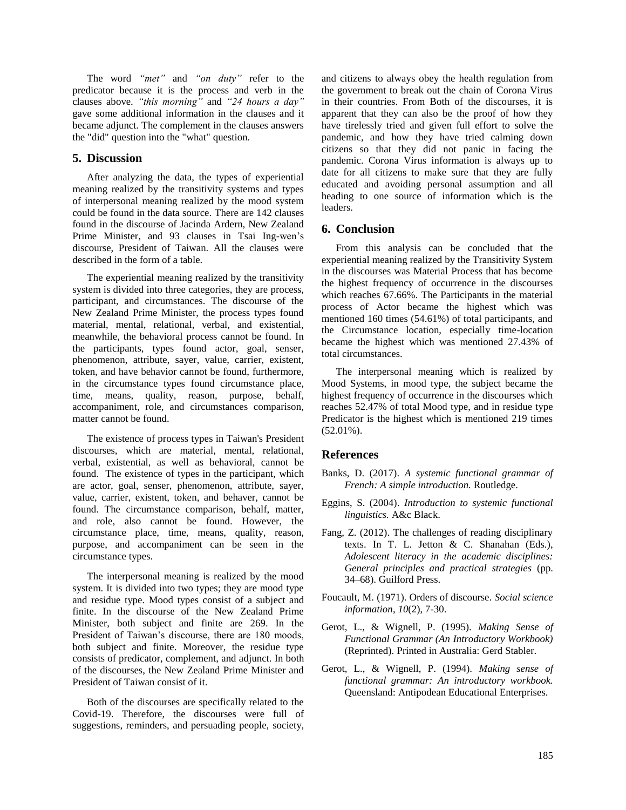The word *"met"* and *"on duty"* refer to the predicator because it is the process and verb in the clauses above. *"this morning"* and *"24 hours a day"*  gave some additional information in the clauses and it became adjunct. The complement in the clauses answers the "did" question into the "what" question.

# **5. Discussion**

After analyzing the data, the types of experiential meaning realized by the transitivity systems and types of interpersonal meaning realized by the mood system could be found in the data source. There are 142 clauses found in the discourse of Jacinda Ardern, New Zealand Prime Minister, and 93 clauses in Tsai Ing-wen"s discourse, President of Taiwan. All the clauses were described in the form of a table.

The experiential meaning realized by the transitivity system is divided into three categories, they are process, participant, and circumstances. The discourse of the New Zealand Prime Minister, the process types found material, mental, relational, verbal, and existential, meanwhile, the behavioral process cannot be found. In the participants, types found actor, goal, senser, phenomenon, attribute, sayer, value, carrier, existent, token, and have behavior cannot be found, furthermore, in the circumstance types found circumstance place, time, means, quality, reason, purpose, behalf, accompaniment, role, and circumstances comparison, matter cannot be found.

The existence of process types in Taiwan's President discourses, which are material, mental, relational, verbal, existential, as well as behavioral, cannot be found. The existence of types in the participant, which are actor, goal, senser, phenomenon, attribute, sayer, value, carrier, existent, token, and behaver, cannot be found. The circumstance comparison, behalf, matter, and role, also cannot be found. However, the circumstance place, time, means, quality, reason, purpose, and accompaniment can be seen in the circumstance types.

The interpersonal meaning is realized by the mood system. It is divided into two types; they are mood type and residue type. Mood types consist of a subject and finite. In the discourse of the New Zealand Prime Minister, both subject and finite are 269. In the President of Taiwan"s discourse, there are 180 moods, both subject and finite. Moreover, the residue type consists of predicator, complement, and adjunct. In both of the discourses, the New Zealand Prime Minister and President of Taiwan consist of it.

Both of the discourses are specifically related to the Covid-19. Therefore, the discourses were full of suggestions, reminders, and persuading people, society,

and citizens to always obey the health regulation from the government to break out the chain of Corona Virus in their countries. From Both of the discourses, it is apparent that they can also be the proof of how they have tirelessly tried and given full effort to solve the pandemic, and how they have tried calming down citizens so that they did not panic in facing the pandemic. Corona Virus information is always up to date for all citizens to make sure that they are fully educated and avoiding personal assumption and all heading to one source of information which is the leaders.

# **6. Conclusion**

From this analysis can be concluded that the experiential meaning realized by the Transitivity System in the discourses was Material Process that has become the highest frequency of occurrence in the discourses which reaches 67.66%. The Participants in the material process of Actor became the highest which was mentioned 160 times (54.61%) of total participants, and the Circumstance location, especially time-location became the highest which was mentioned 27.43% of total circumstances.

The interpersonal meaning which is realized by Mood Systems, in mood type, the subject became the highest frequency of occurrence in the discourses which reaches 52.47% of total Mood type, and in residue type Predicator is the highest which is mentioned 219 times (52.01%).

# **References**

- Banks, D. (2017). *A systemic functional grammar of French: A simple introduction.* Routledge.
- Eggins, S. (2004). *Introduction to systemic functional linguistics.* A&c Black.
- Fang, Z. (2012). The challenges of reading disciplinary texts. In T. L. Jetton & C. Shanahan (Eds.), *Adolescent literacy in the academic disciplines: General principles and practical strategies* (pp. 34–68). Guilford Press.
- Foucault, M. (1971). Orders of discourse. *Social science information*, *10*(2), 7-30.
- Gerot, L., & Wignell, P. (1995). *Making Sense of Functional Grammar (An Introductory Workbook)* (Reprinted). Printed in Australia: Gerd Stabler.
- Gerot, L., & Wignell, P. (1994). *Making sense of functional grammar: An introductory workbook.* Queensland: Antipodean Educational Enterprises.